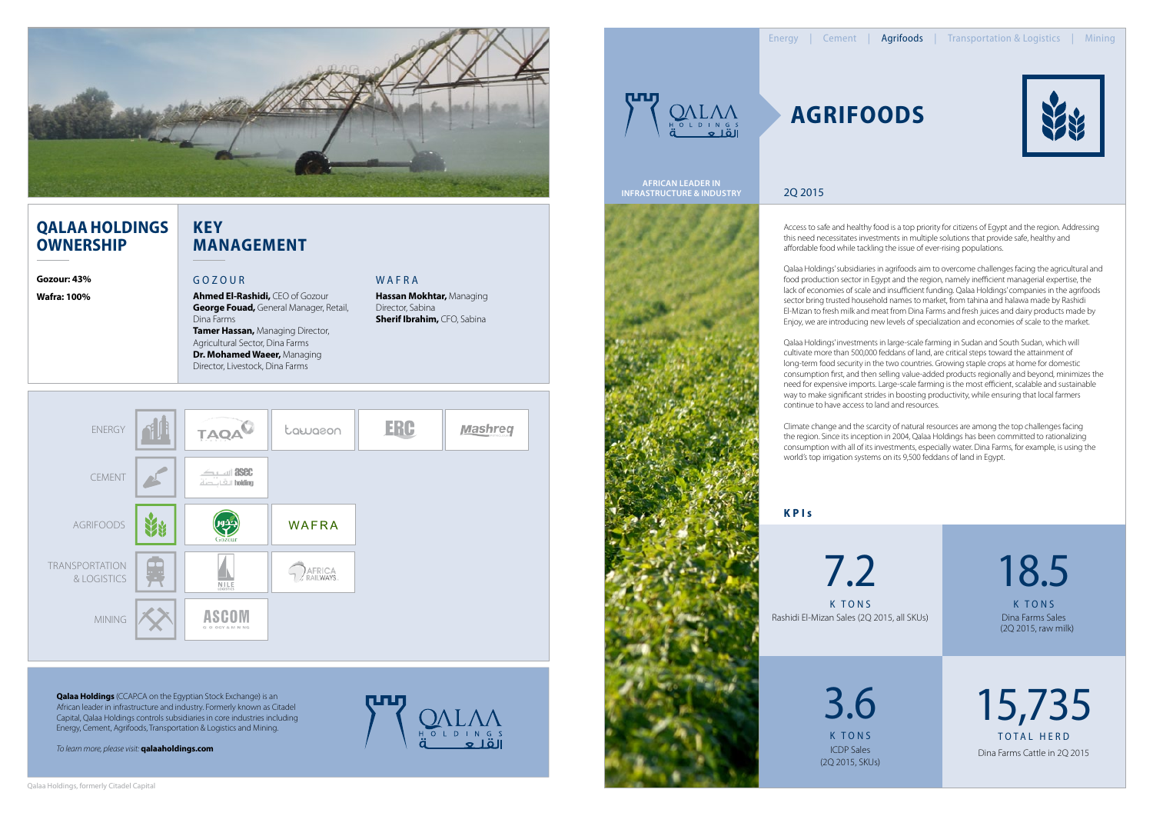Access to safe and healthy food is a top priority for citizens of Egypt and the region. Addressing this need necessitates investments in multiple solutions that provide safe, healthy and affordable food while tackling the issue of ever-rising populations.

Qalaa Holdings' subsidiaries in agrifoods aim to overcome challenges facing the agricultural and food production sector in Egypt and the region, namely inefficient managerial expertise, the lack of economies of scale and insufficient funding. Qalaa Holdings' companies in the agrifoods sector bring trusted household names to market, from tahina and halawa made by Rashidi El-Mizan to fresh milk and meat from Dina Farms and fresh juices and dairy products made by Enjoy, we are introducing new levels of specialization and economies of scale to the market.



# **Qalaa Holdings OWNERSHIP**

Qalaa Holdings' investments in large-scale farming in Sudan and South Sudan, which will cultivate more than 500,000 feddans of land, are critical steps toward the attainment of long-term food security in the two countries. Growing staple crops at home for domestic consumption first, and then selling value-added products regionally and beyond, minimizes the need for expensive imports. Large-scale farming is the most efficient, scalable and sustainable way to make significant strides in boosting productivity, while ensuring that local farmers

TOTAL HERD 15,735 Dina Farms Cattle in 2Q 2015

**Qalaa Holdings** (CCAP.CA on the Egyptian Stock Exchange) is an African leader in infrastructure and industry. Formerly known as Citadel Capital, Qalaa Holdings controls subsidiaries in core industries including Energy, Cement, Agrifoods, Transportation & Logistics and Mining.

continue to have access to land and resources.

Climate change and the scarcity of natural resources are among the top challenges facing the region. Since its inception in 2004, Qalaa Holdings has been committed to rationalizing consumption with all of its investments, especially water. Dina Farms, for example, is using the world's top irrigation systems on its 9,500 feddans of land in Egypt.

# **Agrifoods**

### Gozour

**Ahmed El-Rashidi,** CEO of Gozour **George Fouad,** General Manager, Retail, Dina Farms **Tamer Hassan,** Managing Director, Agricultural Sector, Dina Farms **Dr. Mohamed Waeer,** Managing Director, Livestock, Dina Farms

### WAFRA

**K PI s** 

**Gozour: 43%**

**Wafra: 100%**



k tons 3.6 ICDP Sales (2Q 2015, SKUs) 18.5

k tons Dina Farms Sales (2Q 2015, raw milk)

### 2Q 2015

*To learn more, please visit:* **qalaaholdings.com**







**Hassan Mokhtar,** Managing Director, Sabina **Sherif Ibrahim,** CFO, Sabina

## **Key Management**

**African Leader in Infrastructure & Industry**